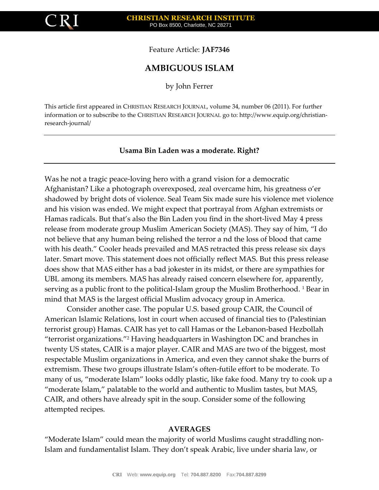

Feature Article: **JAF7346**

# **AMBIGUOUS ISLAM**

by John Ferrer

This article first appeared in CHRISTIAN RESEARCH JOURNAL, volume 34, number 06 (2011). For further information or to subscribe to the CHRISTIAN RESEARCH JOURNAL go to: http://www.equip.org/christianresearch-journal/

# **Usama Bin Laden was a moderate. Right?**

Was he not a tragic peace-loving hero with a grand vision for a democratic Afghanistan? Like a photograph overexposed, zeal overcame him, his greatness o'er shadowed by bright dots of violence. Seal Team Six made sure his violence met violence and his vision was ended. We might expect that portrayal from Afghan extremists or Hamas radicals. But that's also the Bin Laden you find in the short-lived May 4 press release from moderate group Muslim American Society (MAS). They say of him, "I do not believe that any human being relished the terror a nd the loss of blood that came with his death." Cooler heads prevailed and MAS retracted this press release six days later. Smart move. This statement does not officially reflect MAS. But this press release does show that MAS either has a bad jokester in its midst, or there are sympathies for UBL among its members. MAS has already raised concern elsewhere for, apparently, serving as a public front to the political-Islam group the Muslim Brotherhood. <sup>1</sup> Bear in mind that MAS is the largest official Muslim advocacy group in America.

Consider another case. The popular U.S. based group CAIR, the Council of American Islamic Relations, lost in court when accused of financial ties to (Palestinian terrorist group) Hamas. CAIR has yet to call Hamas or the Lebanon-based Hezbollah "terrorist organizations."<sup>2</sup> Having headquarters in Washington DC and branches in twenty US states, CAIR is a major player. CAIR and MAS are two of the biggest, most respectable Muslim organizations in America, and even they cannot shake the burrs of extremism. These two groups illustrate Islam's often-futile effort to be moderate. To many of us, "moderate Islam" looks oddly plastic, like fake food. Many try to cook up a "moderate Islam," palatable to the world and authentic to Muslim tastes, but MAS, CAIR, and others have already spit in the soup. Consider some of the following attempted recipes.

## **AVERAGES**

"Moderate Islam" could mean the majority of world Muslims caught straddling non-Islam and fundamentalist Islam. They don't speak Arabic, live under sharia law, or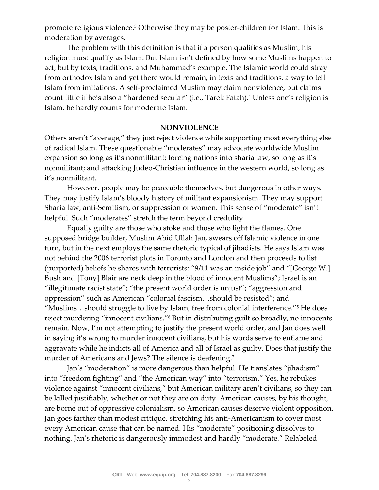promote religious violence.<sup>3</sup> Otherwise they may be poster-children for Islam. This is moderation by averages.

The problem with this definition is that if a person qualifies as Muslim, his religion must qualify as Islam. But Islam isn't defined by how some Muslims happen to act, but by texts, traditions, and Muhammad's example. The Islamic world could stray from orthodox Islam and yet there would remain, in texts and traditions, a way to tell Islam from imitations. A self-proclaimed Muslim may claim nonviolence, but claims count little if he's also a "hardened secular" (i.e., Tarek Fatah).<sup>4</sup> Unless one's religion is Islam, he hardly counts for moderate Islam.

#### **NONVIOLENCE**

Others aren't "average," they just reject violence while supporting most everything else of radical Islam. These questionable "moderates" may advocate worldwide Muslim expansion so long as it's nonmilitant; forcing nations into sharia law, so long as it's nonmilitant; and attacking Judeo-Christian influence in the western world, so long as it's nonmilitant.

However, people may be peaceable themselves, but dangerous in other ways. They may justify Islam's bloody history of militant expansionism. They may support Sharia law, anti-Semitism, or suppression of women. This sense of "moderate" isn't helpful. Such "moderates" stretch the term beyond credulity.

Equally guilty are those who stoke and those who light the flames. One supposed bridge builder, Muslim Abid Ullah Jan, swears off Islamic violence in one turn, but in the next employs the same rhetoric typical of jihadists. He says Islam was not behind the 2006 terrorist plots in Toronto and London and then proceeds to list (purported) beliefs he shares with terrorists: "9/11 was an inside job" and "[George W.] Bush and [Tony] Blair are neck deep in the blood of innocent Muslims"; Israel is an "illegitimate racist state"; "the present world order is unjust"; "aggression and oppression" such as American "colonial fascism…should be resisted"; and "Muslims…should struggle to live by Islam, free from colonial interference."<sup>5</sup> He does reject murdering "innocent civilians."<sup>6</sup> But in distributing guilt so broadly, no innocents remain. Now, I'm not attempting to justify the present world order, and Jan does well in saying it's wrong to murder innocent civilians, but his words serve to enflame and aggravate while he indicts all of America and all of Israel as guilty. Does that justify the murder of Americans and Jews? The silence is deafening.<sup>7</sup>

Jan's "moderation" is more dangerous than helpful. He translates "jihadism" into "freedom fighting" and "the American way" into "terrorism." Yes, he rebukes violence against "innocent civilians," but American military aren't civilians, so they can be killed justifiably, whether or not they are on duty. American causes, by his thought, are borne out of oppressive colonialism, so American causes deserve violent opposition. Jan goes farther than modest critique, stretching his anti-Americanism to cover most every American cause that can be named. His "moderate" positioning dissolves to nothing. Jan's rhetoric is dangerously immodest and hardly "moderate." Relabeled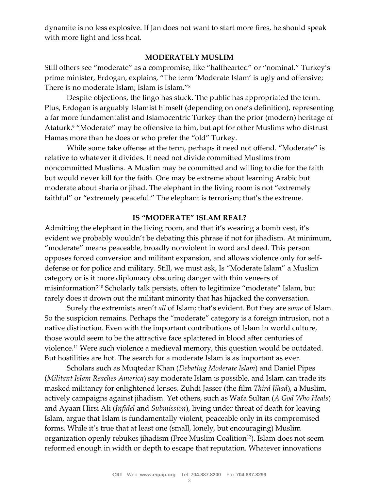dynamite is no less explosive. If Jan does not want to start more fires, he should speak with more light and less heat.

#### **MODERATELY MUSLIM**

Still others see "moderate" as a compromise, like "halfhearted" or "nominal." Turkey's prime minister, Erdogan, explains, "The term 'Moderate Islam' is ugly and offensive; There is no moderate Islam; Islam is Islam."<sup>8</sup>

Despite objections, the lingo has stuck. The public has appropriated the term. Plus, Erdogan is arguably Islamist himself (depending on one's definition), representing a far more fundamentalist and Islamocentric Turkey than the prior (modern) heritage of Ataturk.<sup>9</sup> "Moderate" may be offensive to him, but apt for other Muslims who distrust Hamas more than he does or who prefer the "old" Turkey.

While some take offense at the term, perhaps it need not offend. "Moderate" is relative to whatever it divides. It need not divide committed Muslims from noncommitted Muslims. A Muslim may be committed and willing to die for the faith but would never kill for the faith. One may be extreme about learning Arabic but moderate about sharia or jihad. The elephant in the living room is not "extremely faithful" or "extremely peaceful." The elephant is terrorism; that's the extreme.

# **IS "MODERATE" ISLAM REAL?**

Admitting the elephant in the living room, and that it's wearing a bomb vest, it's evident we probably wouldn't be debating this phrase if not for jihadism. At minimum, "moderate" means peaceable, broadly nonviolent in word and deed. This person opposes forced conversion and militant expansion, and allows violence only for selfdefense or for police and military. Still, we must ask, Is "Moderate Islam" a Muslim category or is it more diplomacy obscuring danger with thin veneers of misinformation?<sup>10</sup> Scholarly talk persists, often to legitimize "moderate" Islam, but rarely does it drown out the militant minority that has hijacked the conversation.

Surely the extremists aren't *all* of Islam; that's evident. But they are *some* of Islam. So the suspicion remains. Perhaps the "moderate" category is a foreign intrusion, not a native distinction. Even with the important contributions of Islam in world culture, those would seem to be the attractive face splattered in blood after centuries of violence.<sup>11</sup> Were such violence a medieval memory, this question would be outdated. But hostilities are hot. The search for a moderate Islam is as important as ever.

Scholars such as Muqtedar Khan (*Debating Moderate Islam*) and Daniel Pipes (*Militant Islam Reaches America*) say moderate Islam is possible, and Islam can trade its masked militancy for enlightened lenses. Zuhdi Jasser (the film *Third Jihad*), a Muslim, actively campaigns against jihadism. Yet others, such as Wafa Sultan (*A God Who Heals*) and Ayaan Hirsi Ali (*Infidel* and *Submission*), living under threat of death for leaving Islam, argue that Islam is fundamentally violent, peaceable only in its compromised forms. While it's true that at least one (small, lonely, but encouraging) Muslim organization openly rebukes jihadism (Free Muslim Coalition<sup>12</sup>). Islam does not seem reformed enough in width or depth to escape that reputation. Whatever innovations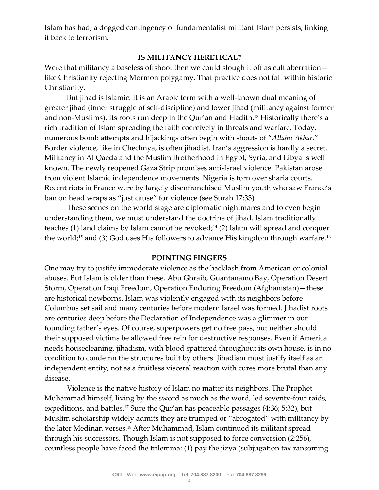Islam has had, a dogged contingency of fundamentalist militant Islam persists, linking it back to terrorism.

## **IS MILITANCY HERETICAL?**

Were that militancy a baseless offshoot then we could slough it off as cult aberrationlike Christianity rejecting Mormon polygamy. That practice does not fall within historic Christianity.

But jihad is Islamic. It is an Arabic term with a well-known dual meaning of greater jihad (inner struggle of self-discipline) and lower jihad (militancy against former and non-Muslims). Its roots run deep in the Qur'an and Hadith.<sup>13</sup> Historically there's a rich tradition of Islam spreading the faith coercively in threats and warfare. Today, numerous bomb attempts and hijackings often begin with shouts of "*Allahu Akbar*." Border violence, like in Chechnya, is often jihadist. Iran's aggression is hardly a secret. Militancy in Al Qaeda and the Muslim Brotherhood in Egypt, Syria, and Libya is well known. The newly reopened Gaza Strip promises anti-Israel violence. Pakistan arose from violent Islamic independence movements. Nigeria is torn over sharia courts. Recent riots in France were by largely disenfranchised Muslim youth who saw France's ban on head wraps as "just cause" for violence (see Surah 17:33).

These scenes on the world stage are diplomatic nightmares and to even begin understanding them, we must understand the doctrine of jihad. Islam traditionally teaches (1) land claims by Islam cannot be revoked;<sup>14</sup> (2) Islam will spread and conquer the world;<sup>15</sup> and (3) God uses His followers to advance His kingdom through warfare.<sup>16</sup>

#### **POINTING FINGERS**

One may try to justify immoderate violence as the backlash from American or colonial abuses. But Islam is older than these. Abu Ghraib, Guantanamo Bay, Operation Desert Storm, Operation Iraqi Freedom, Operation Enduring Freedom (Afghanistan)—these are historical newborns. Islam was violently engaged with its neighbors before Columbus set sail and many centuries before modern Israel was formed. Jihadist roots are centuries deep before the Declaration of Independence was a glimmer in our founding father's eyes. Of course, superpowers get no free pass, but neither should their supposed victims be allowed free rein for destructive responses. Even if America needs housecleaning, jihadism, with blood spattered throughout its own house, is in no condition to condemn the structures built by others. Jihadism must justify itself as an independent entity, not as a fruitless visceral reaction with cures more brutal than any disease.

Violence is the native history of Islam no matter its neighbors. The Prophet Muhammad himself, living by the sword as much as the word, led seventy-four raids, expeditions, and battles.<sup>17</sup> Sure the Qur'an has peaceable passages (4:36; 5:32), but Muslim scholarship widely admits they are trumped or "abrogated" with militancy by the later Medinan verses.18 After Muhammad, Islam continued its militant spread through his successors. Though Islam is not supposed to force conversion (2:256), countless people have faced the trilemma: (1) pay the jizya (subjugation tax ransoming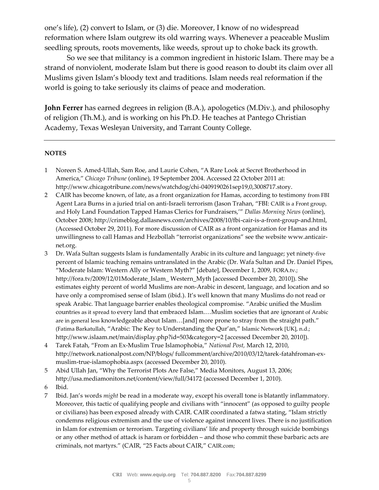one's life), (2) convert to Islam, or (3) die. Moreover, I know of no widespread reformation where Islam outgrew its old warring ways. Whenever a peaceable Muslim seedling sprouts, roots movements, like weeds, sprout up to choke back its growth.

So we see that militancy is a common ingredient in historic Islam. There may be a strand of nonviolent, moderate Islam but there is good reason to doubt its claim over all Muslims given Islam's bloody text and traditions. Islam needs real reformation if the world is going to take seriously its claims of peace and moderation.

**John Ferrer** has earned degrees in religion (B.A.), apologetics (M.Div.), and philosophy of religion (Th.M.), and is working on his Ph.D. He teaches at Pantego Christian Academy, Texas Wesleyan University, and Tarrant County College.

#### **NOTES**

- 1 Noreen S. Amed-Ullah, Sam Roe, and Laurie Cohen, "A Rare Look at Secret Brotherhood in America," *Chicago Tribune* (online), 19 September 2004. Accessed 22 October 2011 at: http://www.chicagotribune.com/news/watchdog/chi-0409190261sep19,0,3008717.story.
- 2 CAIR has become known, of late, as a front organization for Hamas, according to testimony from FBI Agent Lara Burns in a juried trial on anti-Israeli terrorism (Jason Trahan, "FBI: CAIR is a Front group, and Holy Land Foundation Tapped Hamas Clerics for Fundraisers,'" *Dallas Morning News* (online), October 2008; http://crimeblog.dallasnews.com/archives/2008/10/fbi-cair-is-a-front-group-and.html, (Accessed October 29, 2011). For more discussion of CAIR as a front organization for Hamas and its unwillingness to call Hamas and Hezbollah "terrorist organizations" see the website www.anticairnet.org.
- 3 Dr. Wafa Sultan suggests Islam is fundamentally Arabic in its culture and language; yet ninety-five percent of Islamic teaching remains untranslated in the Arabic (Dr. Wafa Sultan and Dr. Daniel Pipes, "Moderate Islam: Western Ally or Western Myth?" [debate], December 1, 2009, FORA.tv.; http://fora.tv/2009/12/01Moderate\_Islam\_ Western\_Myth [accessed December 20, 2010]). She estimates eighty percent of world Muslims are non-Arabic in descent, language, and location and so have only a compromised sense of Islam (ibid.). It's well known that many Muslims do not read or speak Arabic. That language barrier enables theological compromise. "Arabic unified the Muslim countries as it spread to every land that embraced Islam.…Muslim societies that are ignorant of Arabic are in general less knowledgeable about Islam…[and] more prone to stray from the straight path." (Fatima Barkatullah, "Arabic: The Key to Understanding the Qur'an," Islamic Network [UK], n.d.; http://www.islaam.net/main/display.php?id=503&category=2 [accessed December 20, 2010]).
- 4 Tarek Fatah, "From an Ex-Muslim True Islamophobia," *National Post,* March 12, 2010, http://network.nationalpost.com/NP/blogs/ fullcomment/archive/2010/03/12/tarek-fatahfroman-exmuslim-true-islamophobia.aspx (accessed December 20, 2010).
- 5 Abid Ullah Jan, "Why the Terrorist Plots Are False," Media Monitors, August 13, 2006; http://usa.mediamonitors.net/content/view/full/34172 (accessed December 1, 2010).
- 6 Ibid.
- 7 Ibid. Jan's words *might* be read in a moderate way, except his overall tone is blatantly inflammatory. Moreover, this tactic of qualifying people and civilians with "innocent" (as opposed to guilty people or civilians) has been exposed already with CAIR. CAIR coordinated a fatwa stating, "Islam strictly condemns religious extremism and the use of violence against innocent lives. There is no justification in Islam for extremism or terrorism. Targeting civilians' life and property through suicide bombings or any other method of attack is haram or forbidden – and those who commit these barbaric acts are criminals, not martyrs." (CAIR, "25 Facts about CAIR," CAIR.com;